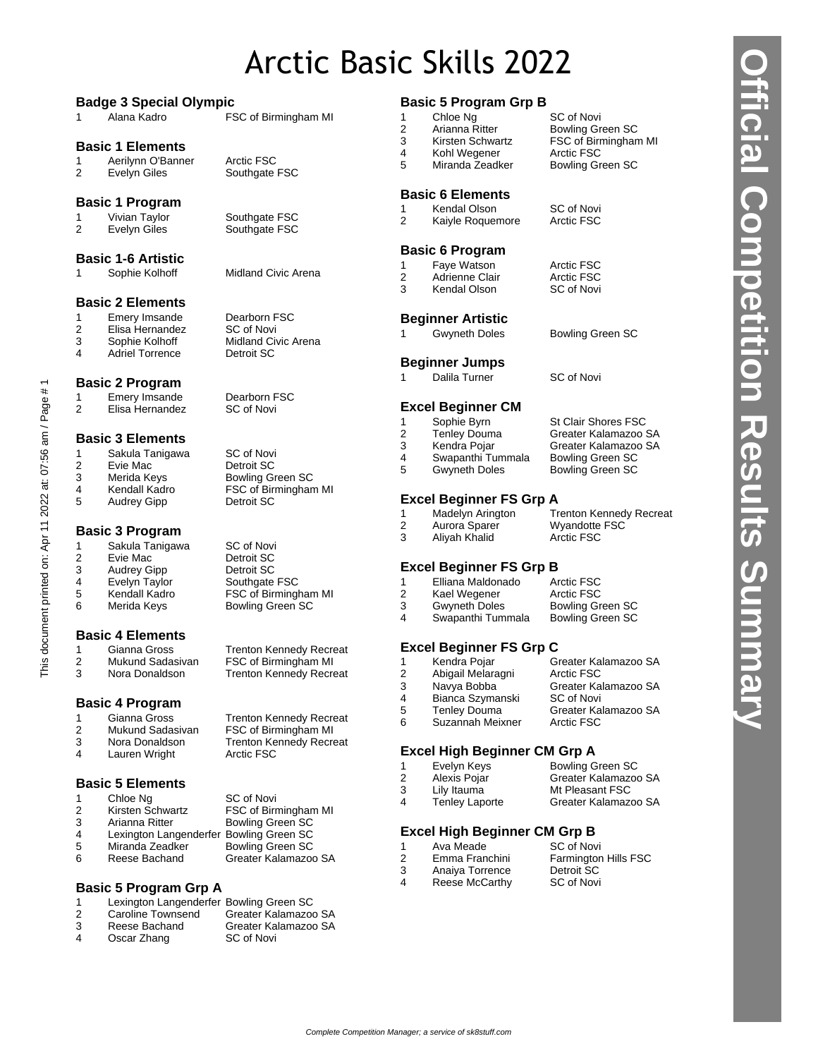## Arctic Basic Skills 2022

|                |                                                            | <b>Badge 3 Special Olympic</b>        |  |  |  |
|----------------|------------------------------------------------------------|---------------------------------------|--|--|--|
| 1              | Alana Kadro                                                | FSC of Birmingham MI                  |  |  |  |
|                | <b>Basic 1 Elements</b>                                    |                                       |  |  |  |
| 1              | Aerilynn O'Banner                                          | Arctic FSC                            |  |  |  |
| 2              | <b>Evelyn Giles</b>                                        | Southgate FSC                         |  |  |  |
|                | <b>Basic 1 Program</b>                                     |                                       |  |  |  |
| 1              | Vivian Taylor                                              | Southgate FSC                         |  |  |  |
| $\overline{2}$ | <b>Evelyn Giles</b>                                        | Southgate FSC                         |  |  |  |
|                | <b>Basic 1-6 Artistic</b>                                  |                                       |  |  |  |
| 1              | Sophie Kolhoff                                             | Midland Civic Arena                   |  |  |  |
|                | <b>Basic 2 Elements</b>                                    |                                       |  |  |  |
| 1              | Emery Imsande                                              | Dearborn FSC                          |  |  |  |
| 2              | Elisa Hernandez                                            | SC of Novi                            |  |  |  |
| 3              | Sophie Kolhoff                                             | <b>Midland Civic Arena</b>            |  |  |  |
| 4              | <b>Adriel Torrence</b>                                     | Detroit SC                            |  |  |  |
|                | <b>Basic 2 Program</b>                                     |                                       |  |  |  |
| 1              | <b>Emery Imsande</b>                                       | Dearborn FSC                          |  |  |  |
| 2              | Elisa Hernandez                                            | SC of Novi                            |  |  |  |
|                | <b>Basic 3 Elements</b>                                    |                                       |  |  |  |
| 1              | Sakula Tanigawa                                            | <b>SC</b> of Novi                     |  |  |  |
| 2<br>3         | Evie Mac                                                   | Detroit SC<br><b>Bowling Green SC</b> |  |  |  |
| 4              | Merida Keys<br>Kendall Kadro                               | FSC of Birmingham MI                  |  |  |  |
| 5              | <b>Audrey Gipp</b>                                         | Detroit SC                            |  |  |  |
|                | <b>Basic 3 Program</b>                                     |                                       |  |  |  |
| 1              | Sakula Tanigawa                                            | SC of Novi                            |  |  |  |
| 2              | Evie Mac                                                   | Detroit SC                            |  |  |  |
| 3              | Audrey Gipp                                                | Detroit SC                            |  |  |  |
| 4              | Evelyn Taylor                                              | Southgate FSC                         |  |  |  |
| 5              | Kendall Kadro                                              | FSC of Birmingham MI                  |  |  |  |
| 6              | Merida Keys                                                | <b>Bowling Green SC</b>               |  |  |  |
|                | <b>Basic 4 Elements</b>                                    |                                       |  |  |  |
| 1              | Gianna Gross                                               | <b>Trenton Kennedy Recreat</b>        |  |  |  |
| 2              | Mukund Sadasivan                                           | FSC of Birmingham MI                  |  |  |  |
| 3              | Nora Donaldson                                             | <b>Trenton Kennedy Recreat</b>        |  |  |  |
|                | <b>Basic 4 Program</b>                                     |                                       |  |  |  |
| 1              | Gianna Gross                                               | <b>Trenton Kennedy Recreat</b>        |  |  |  |
| 2              | Mukund Sadasivan                                           | FSC of Birmingham MI                  |  |  |  |
| 3              | Nora Donaldson                                             | <b>Trenton Kennedy Recreat</b>        |  |  |  |
| 4              | Lauren Wright                                              | Arctic FSC                            |  |  |  |
|                | <b>Basic 5 Elements</b>                                    |                                       |  |  |  |
| 1              | Chloe Ng                                                   | SC of Novi                            |  |  |  |
| 2              | Kirsten Schwartz                                           | FSC of Birmingham MI                  |  |  |  |
| 3              | Arianna Ritter                                             | <b>Bowling Green SC</b>               |  |  |  |
| 4<br>5         | Lexington Langenderfer Bowling Green SC<br>Miranda Zeadker | <b>Bowling Green SC</b>               |  |  |  |
| 6              | Reese Bachand                                              | Greater Kalamazoo SA                  |  |  |  |
|                |                                                            |                                       |  |  |  |

#### **Basic 5 Program Grp A**

|    | Lexington Langenderfer Bowling Green SC |                      |
|----|-----------------------------------------|----------------------|
| -2 | <b>Caroline Townsend</b>                | Greater Kalamazoo SA |
| -3 | Reese Bachand                           | Greater Kalamazoo SA |
| Δ  | Oscar Zhang                             | SC of Novi           |

Oscar Zhang

This document printed on: Apr 11 2022 at: 07:56 am / Page # 1

This document printed on: Apr 11 2022 at: 07:56 am / Page #1

**Basic 5 Program Grp B**

|                | <b>Basic 5 Program Grp B</b>   |                                                 |
|----------------|--------------------------------|-------------------------------------------------|
| 1              | Chloe Ng<br>Arianna Ritter     | SC of Novi                                      |
| 2<br>3         | Kirsten Schwartz               | <b>Bowling Green SC</b><br>FSC of Birmingham MI |
| 4              | Kohl Wegener                   | <b>Arctic FSC</b>                               |
| 5              | Miranda Zeadker                | <b>Bowling Green SC</b>                         |
|                | <b>Basic 6 Elements</b>        |                                                 |
| 1.             | Kendal Olson                   | SC of Novi                                      |
| $\overline{2}$ | Kaiyle Roquemore               | <b>Arctic FSC</b>                               |
|                | <b>Basic 6 Program</b>         |                                                 |
| 1.             | Faye Watson                    | <b>Arctic FSC</b>                               |
| $\overline{2}$ | Adrienne Clair                 | <b>Arctic FSC</b>                               |
| 3              | Kendal Olson                   | SC of Novi                                      |
|                | <b>Beginner Artistic</b>       |                                                 |
| 1              | <b>Gwyneth Doles</b>           | <b>Bowling Green SC</b>                         |
|                | <b>Beginner Jumps</b>          |                                                 |
| 1              | Dalila Turner                  | SC of Novi                                      |
|                | <b>Excel Beginner CM</b>       |                                                 |
| 1              | Sophie Byrn                    | <b>St Clair Shores FSC</b>                      |
| $\overline{2}$ | <b>Tenley Douma</b>            | Greater Kalamazoo SA                            |
| $3^{\circ}$    | Kendra Pojar                   | Greater Kalamazoo SA                            |
| 4              | Swapanthi Tummala              | <b>Bowling Green SC</b>                         |
| 5              | <b>Gwyneth Doles</b>           | <b>Bowling Green SC</b>                         |
|                | <b>Excel Beginner FS Grp A</b> |                                                 |
| 1.             | Madelyn Arington               | <b>Trenton Kennedy Recreat</b>                  |
| $\overline{a}$ | Aurora Sparer                  | Wyandotte FSC                                   |
| 3              | Aliyah Khalid                  | Arctic FSC                                      |
|                | <b>Excel Beginner FS Grp B</b> |                                                 |
|                | 1 Elliana Maldonado Arctic FSC |                                                 |

## Elliana Maldonado Arctic FSC

|   | Liliana Maruunauu | AIUUU FOU               |
|---|-------------------|-------------------------|
| 2 | Kael Wegener      | <b>Arctic FSC</b>       |
| 3 | Gwyneth Doles     | <b>Bowling Green SC</b> |
| 4 | Swapanthi Tummala | <b>Bowling Green SC</b> |
|   |                   |                         |

### **Excel Beginner FS Grp C**

|   | Kendra Pojar        | Greater Kalamazoo SA |
|---|---------------------|----------------------|
| 2 | Abigail Melaragni   | Arctic FSC           |
| 3 | Navya Bobba         | Greater Kalamazoo SA |
| 4 | Bianca Szymanski    | SC of Novi           |
| 5 | <b>Tenley Douma</b> | Greater Kalamazoo SA |
| 6 | Suzannah Meixner    | Arctic FSC           |

#### **Excel High Beginner CM Grp A**

| 1 | Evelyn Keys           | Bowling Green SC     |
|---|-----------------------|----------------------|
| 2 | Alexis Pojar          | Greater Kalamazoo SA |
| 3 | Lily Itauma           | Mt Pleasant FSC      |
| 4 | <b>Tenley Laporte</b> | Greater Kalamazoo SA |
|   |                       |                      |

#### **Excel High Beginner CM Grp B**

| 1 | Ava Meade       | SC of Novi                  |
|---|-----------------|-----------------------------|
| 2 | Emma Franchini  | <b>Farmington Hills FSC</b> |
| 3 | Anaiya Torrence | Detroit SC                  |
| 4 | Reese McCarthy  | SC of Novi                  |
|   |                 |                             |

**Official Competition Results Summary** *<b>Ifficial Competition Results Summary*